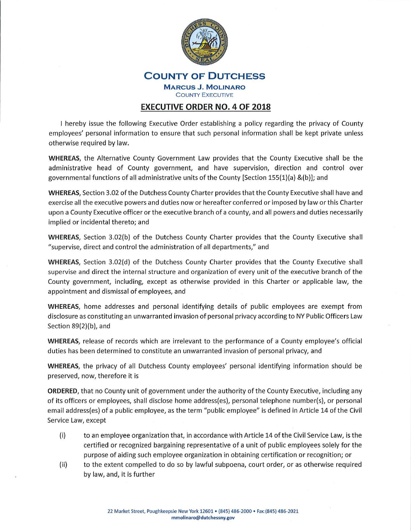

## **COUNTY OF DUTCHESS MARCUS J. MOLINARO**  COUNTY EXECUTIVE

## **EXECUTIVE ORDER NO. 4 OF 2018**

I hereby issue the following Executive Order establishing a policy regarding the privacy of County employees' personal information to ensure that such personal information shall be kept private unless otherwise required by law.

**WHEREAS,** the Alternative County Government Law provides that the County Executive shall be the administrative head of County government, and have supervision, direction and control over governmental functions of all administrative units of the County [Section 155(1)(a) &(b)]; and

**WHEREAS,** Section 3.02 of the Dutchess County Charter provides that the County Executive shall have and exercise all the executive powers and duties now or hereafter conferred or imposed by law or this Charter upon a County Executive officer or the executive branch of a county, and all powers and duties necessarily implied or incidental thereto; and

**WHEREAS,** Section 3.02(b) of the Dutchess County Charter provides that the County Executive shall "supervise, direct and control the administration of all departments," and

**WHEREAS,** Section 3.02(d) of the Dutchess County Charter provides that the County Executive shall supervise and direct the internal structure and organization of every unit of the executive branch of the County government, including, except as otherwise provided in this Charter or applicable law, the appointment and dismissal of employees, and

**WHEREAS,** home addresses and personal identifying details of public employees are exempt from disclosure as constituting an unwarranted invasion of personal privacy according to NY Public Officers Law Section 89(2)(b), and

**WHEREAS,** release of records which are irrelevant to the performance of a County employee's official duties has been determined to constitute an unwarranted invasion of personal privacy, and

**WHEREAS,** the privacy of all Dutchess County employees' personal identifying information should be preserved, now, therefore it is

**ORDERED,** that no County unit of government under the authority of the County Executive, including any of its officers or employees, shall disclose home address(es), personal telephone number(s), or personal email address(es) of a public employee, as the term "public employee" is defined in Article 14 of the Civil Service Law, except

- (i) to an employee organization that, in accordance with Article 14 of the Civil Service Law, is the certified or recognized bargaining representative of a unit of public employees solely for the purpose of aiding such employee organization in obtaining certification or recognition; or
- (ii) to the extent compelled to do so by lawful subpoena, court order, or as otherwise required by law, and, it is further